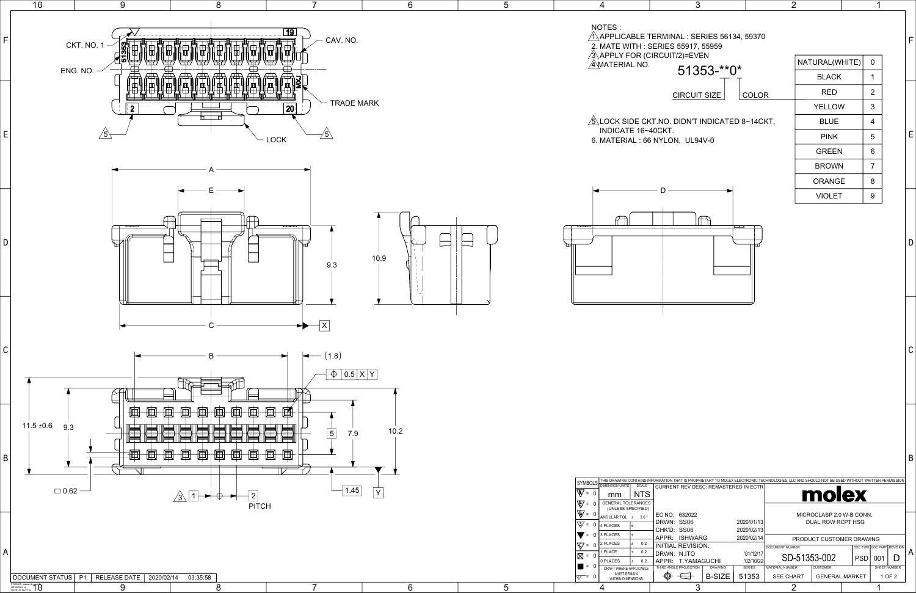|                                 |                |            |                        | THAT IS PROPRIETARY TO MOLEX ELECTRONIC TECHNOLOGIES, LLC AND SHOULD NOT BE USED WITHOUT WRITTEN PERMISSION |                 |  |                            |              |        |  |
|---------------------------------|----------------|------------|------------------------|-------------------------------------------------------------------------------------------------------------|-----------------|--|----------------------------|--------------|--------|--|
| NT REV DESC: REMASTERED IN ECTR |                |            |                        | molex                                                                                                       |                 |  |                            |              |        |  |
| 632022                          |                |            |                        | MICROCLASP 2.0 W-B CONN.                                                                                    |                 |  |                            |              |        |  |
| : SS06                          |                |            | 2020/01/13             | DUAL ROW RCPT HSG                                                                                           |                 |  |                            |              |        |  |
| : SS06                          |                | 2020/02/13 |                        |                                                                                                             |                 |  |                            |              |        |  |
| 2020/02/14<br><b>ISHWARG</b>    |                |            |                        | PRODUCT CUSTOMER DRAWING                                                                                    |                 |  |                            |              |        |  |
| L REVISION:                     |                |            | <b>DOCUMENT NUMBER</b> |                                                                                                             |                 |  | DOC TYPE DOC PART REVISION |              |        |  |
| : N.ITO                         |                |            | '01/12/17              | SD-51353-002<br><b>PSD</b>                                                                                  |                 |  |                            |              | A      |  |
| <b>T.YAMAGUCHI</b>              |                | '02/10/22  |                        |                                                                                                             |                 |  | 001                        |              |        |  |
| <b>LE PROJECTION</b>            | <b>DRAWING</b> |            | <b>SERIES</b>          | <b>MATERIAL NUMBER</b>                                                                                      | <b>CUSTOMER</b> |  |                            | SHEET NUMBER |        |  |
|                                 | <b>B-SIZE</b>  | 51353      |                        | <b>SEE CHART</b><br><b>GENERAL MARKET</b>                                                                   |                 |  |                            |              | 1 OF 2 |  |
|                                 |                |            |                        |                                                                                                             |                 |  |                            |              |        |  |

| 3                                              |       | $\overline{2}$ |                |
|------------------------------------------------|-------|----------------|----------------|
| IINAL : SERIES 56134, 59370<br>ES 55917, 55959 |       |                |                |
| JIT/2)=EVEN                                    |       | NATURAL(WHITE) | 0              |
| 51353-**0*                                     |       | <b>BLACK</b>   | 1              |
| <b>CIRCUIT SIZE</b>                            | COLOR | RED            | $\overline{2}$ |
|                                                |       | <b>YELLOW</b>  | 3              |
| 0. DIDN'T INDICATED 8~14CKT,                   |       | <b>BLUE</b>    | 4              |
| CΤ.<br>ON, UL94V-0                             |       | <b>PINK</b>    | 5              |
|                                                |       |                |                |

GREEN 6 BROWN 7

1

ORANGE | 8 VIOLET 9

B

C

D

E



F